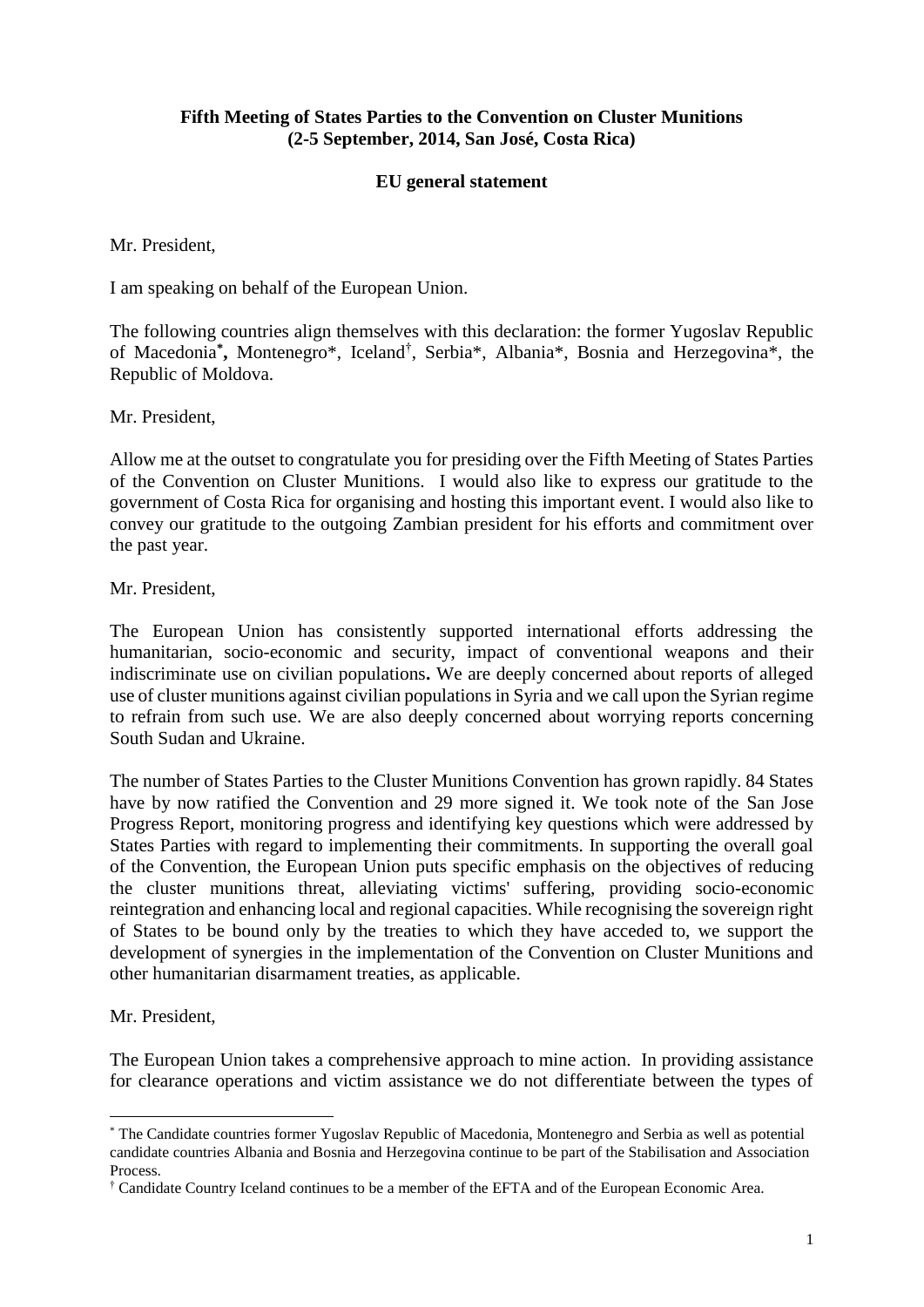## **Fifth Meeting of States Parties to the Convention on Cluster Munitions (2-5 September, 2014, San José, Costa Rica)**

## **EU general statement**

Mr. President,

I am speaking on behalf of the European Union.

<span id="page-0-0"></span>The following countries align themselves with this declaration: the former Yugoslav Republic of Macedonia**\* ,** Montenegr[o\\*,](#page-0-0) Iceland† , Serbi[a\\*,](#page-0-0) Albani[a\\*,](#page-0-0) Bosnia and Herzegovin[a\\*,](#page-0-0) the Republic of Moldova.

Mr. President,

Allow me at the outset to congratulate you for presiding over the Fifth Meeting of States Parties of the Convention on Cluster Munitions. I would also like to express our gratitude to the government of Costa Rica for organising and hosting this important event. I would also like to convey our gratitude to the outgoing Zambian president for his efforts and commitment over the past year.

Mr. President,

The European Union has consistently supported international efforts addressing the humanitarian, socio-economic and security, impact of conventional weapons and their indiscriminate use on civilian populations**.** We are deeply concerned about reports of alleged use of cluster munitions against civilian populations in Syria and we call upon the Syrian regime to refrain from such use. We are also deeply concerned about worrying reports concerning South Sudan and Ukraine.

The number of States Parties to the Cluster Munitions Convention has grown rapidly. 84 States have by now ratified the Convention and 29 more signed it. We took note of the San Jose Progress Report, monitoring progress and identifying key questions which were addressed by States Parties with regard to implementing their commitments. In supporting the overall goal of the Convention, the European Union puts specific emphasis on the objectives of reducing the cluster munitions threat, alleviating victims' suffering, providing socio-economic reintegration and enhancing local and regional capacities. While recognising the sovereign right of States to be bound only by the treaties to which they have acceded to, we support the development of synergies in the implementation of the Convention on Cluster Munitions and other humanitarian disarmament treaties, as applicable.

Mr. President,

1

The European Union takes a comprehensive approach to mine action. In providing assistance for clearance operations and victim assistance we do not differentiate between the types of

<sup>\*</sup> The Candidate countries former Yugoslav Republic of Macedonia, Montenegro and Serbia as well as potential candidate countries Albania and Bosnia and Herzegovina continue to be part of the Stabilisation and Association Process.

<sup>†</sup> Candidate Country Iceland continues to be a member of the EFTA and of the European Economic Area.